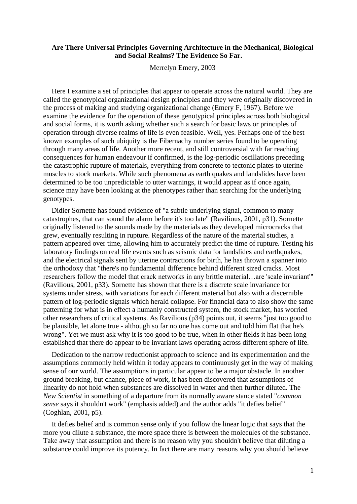# **Are There Universal Principles Governing Architecture in the Mechanical, Biological and Social Realms? The Evidence So Far.**

Merrelyn Emery, 2003

Here I examine a set of principles that appear to operate across the natural world. They are called the genotypical organizational design principles and they were originally discovered in the process of making and studying organizational change (Emery F, 1967). Before we examine the evidence for the operation of these genotypical principles across both biological and social forms, it is worth asking whether such a search for basic laws or principles of operation through diverse realms of life is even feasible. Well, yes. Perhaps one of the best known examples of such ubiquity is the Fibernachy number series found to be operating through many areas of life. Another more recent, and still controversial with far reaching consequences for human endeavour if confirmed, is the log-periodic oscillations preceding the catastrophic rupture of materials, everything from concrete to tectonic plates to uterine muscles to stock markets. While such phenomena as earth quakes and landslides have been determined to be too unpredictable to utter warnings, it would appear as if once again, science may have been looking at the phenotypes rather than searching for the underlying genotypes.

Didier Sornette has found evidence of "a subtle underlying signal, common to many catastrophes, that can sound the alarm before it's too late" (Ravilious, 2001, p31). Sornette originally listened to the sounds made by the materials as they developed microcracks that grew, eventually resulting in rupture. Regardless of the nature of the material studies, a pattern appeared over time, allowing him to accurately predict the time of rupture. Testing his laboratory findings on real life events such as seismic data for landslides and earthquakes, and the electrical signals sent by uterine contractions for birth, he has thrown a spanner into the orthodoxy that "there's no fundamental difference behind different sized cracks. Most researchers follow the model that crack networks in any brittle material…are 'scale invariant'" (Ravilious, 2001, p33). Sornette has shown that there is a discrete scale invariance for systems under stress, with variations for each different material but also with a discernible pattern of log-periodic signals which herald collapse. For financial data to also show the same patterning for what is in effect a humanly constructed system, the stock market, has worried other researchers of critical systems. As Ravilious (p34) points out, it seems "just too good to be plausible, let alone true - although so far no one has come out and told him flat that he's wrong". Yet we must ask why it is too good to be true, when in other fields it has been long established that there do appear to be invariant laws operating across different sphere of life.

Dedication to the narrow reductionist approach to science and its experimentation and the assumptions commonly held within it today appears to continuously get in the way of making sense of our world. The assumptions in particular appear to be a major obstacle. In another ground breaking, but chance, piece of work, it has been discovered that assumptions of linearity do not hold when substances are dissolved in water and then further diluted. The *New Scientist* in something of a departure from its normally aware stance stated "*common sense* says it shouldn't work" (emphasis added) and the author adds "it defies belief" (Coghlan, 2001, p5).

It defies belief and is common sense only if you follow the linear logic that says that the more you dilute a substance, the more space there is between the molecules of the substance. Take away that assumption and there is no reason why you shouldn't believe that diluting a substance could improve its potency. In fact there are many reasons why you should believe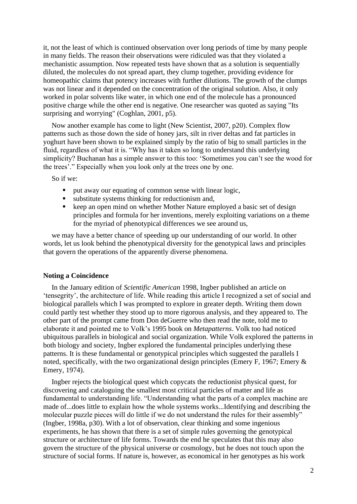it, not the least of which is continued observation over long periods of time by many people in many fields. The reason their observations were ridiculed was that they violated a mechanistic assumption. Now repeated tests have shown that as a solution is sequentially diluted, the molecules do not spread apart, they clump together, providing evidence for homeopathic claims that potency increases with further dilutions. The growth of the clumps was not linear and it depended on the concentration of the original solution. Also, it only worked in polar solvents like water, in which one end of the molecule has a pronounced positive charge while the other end is negative. One researcher was quoted as saying "Its surprising and worrying" (Coghlan, 2001, p5).

Now another example has come to light (New Scientist, 2007, p20). Complex flow patterns such as those down the side of honey jars, silt in river deltas and fat particles in yoghurt have been shown to be explained simply by the ratio of big to small particles in the fluid, regardless of what it is. "Why has it taken so long to understand this underlying simplicity? Buchanan has a simple answer to this too: 'Sometimes you can't see the wood for the trees'." Especially when you look only at the trees one by one.

So if we:

- put away our equating of common sense with linear logic,
- substitute systems thinking for reductionism and,
- keep an open mind on whether Mother Nature employed a basic set of design principles and formula for her inventions, merely exploiting variations on a theme for the myriad of phenotypical differences we see around us,

we may have a better chance of speeding up our understanding of our world. In other words, let us look behind the phenotypical diversity for the genotypical laws and principles that govern the operations of the apparently diverse phenomena.

## **Noting a Coincidence**

In the January edition of *Scientific American* 1998, Ingber published an article on 'tensegrity', the architecture of life. While reading this article I recognized a set of social and biological parallels which I was prompted to explore in greater depth. Writing them down could partly test whether they stood up to more rigorous analysis, and they appeared to. The other part of the prompt came from Don deGuerre who then read the note, told me to elaborate it and pointed me to Volk's 1995 book on *Metapatterns*. Volk too had noticed ubiquitous parallels in biological and social organization. While Volk explored the patterns in both biology and society, Ingber explored the fundamental principles underlying these patterns. It is these fundamental or genotypical principles which suggested the parallels I noted, specifically, with the two organizational design principles (Emery F, 1967; Emery & Emery, 1974).

Ingber rejects the biological quest which copycats the reductionist physical quest, for discovering and cataloguing the smallest most critical particles of matter and life as fundamental to understanding life. "Understanding what the parts of a complex machine are made of...does little to explain how the whole systems works...Identifying and describing the molecular puzzle pieces will do little if we do not understand the rules for their assembly" (Ingber, 1998a, p30). With a lot of observation, clear thinking and some ingenious experiments, he has shown that there is a set of simple rules governing the genotypical structure or architecture of life forms. Towards the end he speculates that this may also govern the structure of the physical universe or cosmology, but he does not touch upon the structure of social forms. If nature is, however, as economical in her genotypes as his work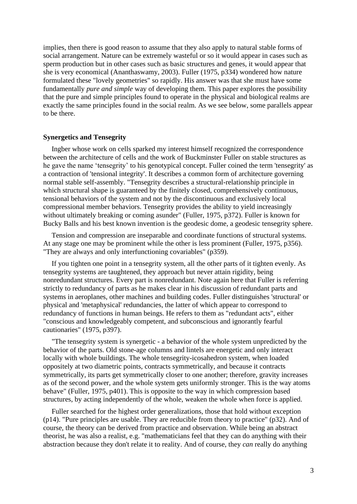implies, then there is good reason to assume that they also apply to natural stable forms of social arrangement. Nature can be extremely wasteful or so it would appear in cases such as sperm production but in other cases such as basic structures and genes, it would appear that she is very economical (Ananthaswamy, 2003). Fuller (1975, p334) wondered how nature formulated these "lovely geometries" so rapidly. His answer was that she must have some fundamentally *pure and simple* way of developing them. This paper explores the possibility that the pure and simple principles found to operate in the physical and biological realms are exactly the same principles found in the social realm. As we see below, some parallels appear to be there.

## **Synergetics and Tensegrity**

Ingber whose work on cells sparked my interest himself recognized the correspondence between the architecture of cells and the work of Buckminster Fuller on stable structures as he gave the name 'tensegrity' to his genotypical concept. Fuller coined the term 'tensegrity' as a contraction of 'tensional integrity'. It describes a common form of architecture governing normal stable self-assembly. "Tensegrity describes a structural-relationship principle in which structural shape is guaranteed by the finitely closed, comprehensively continuous, tensional behaviors of the system and not by the discontinuous and exclusively local compressional member behaviors. Tensegrity provides the ability to yield increasingly without ultimately breaking or coming asunder" (Fuller, 1975, p372). Fuller is known for Bucky Balls and his best known invention is the geodesic dome, a geodesic tensegrity sphere.

Tension and compression are inseparable and coordinate functions of structural systems. At any stage one may be prominent while the other is less prominent (Fuller, 1975, p356). "They are always and only interfunctioning covariables" (p359).

If you tighten one point in a tensegrity system, all the other parts of it tighten evenly. As tensegrity systems are taughtened, they approach but never attain rigidity, being nonredundant structures. Every part is nonredundant. Note again here that Fuller is referring strictly to redundancy of parts as he makes clear in his discussion of redundant parts and systems in aeroplanes, other machines and building codes. Fuller distinguishes 'structural' or physical and 'metaphysical' redundancies, the latter of which appear to correspond to redundancy of functions in human beings. He refers to them as "redundant acts", either "conscious and knowledgeably competent, and subconscious and ignorantly fearful cautionaries" (1975, p397).

"The tensegrity system is synergetic - a behavior of the whole system unpredicted by the behavior of the parts. Old stone-age columns and lintels are energetic and only interact locally with whole buildings. The whole tensegrity-icosahedron system, when loaded oppositely at two diametric points, contracts symmetrically, and because it contracts symmetrically, its parts get symmetrically closer to one another; therefore, gravity increases as of the second power, and the whole system gets uniformly stronger. This is the way atoms behave" (Fuller, 1975, p401). This is opposite to the way in which compression based structures, by acting independently of the whole, weaken the whole when force is applied.

Fuller searched for the highest order generalizations, those that hold without exception (p14). "Pure principles are usable. They are reducible from theory to practice" (p32). And of course, the theory can be derived from practice and observation. While being an abstract theorist, he was also a realist, e.g. "mathematicians feel that they can do anything with their abstraction because they don't relate it to reality. And of course, they *can* really do anything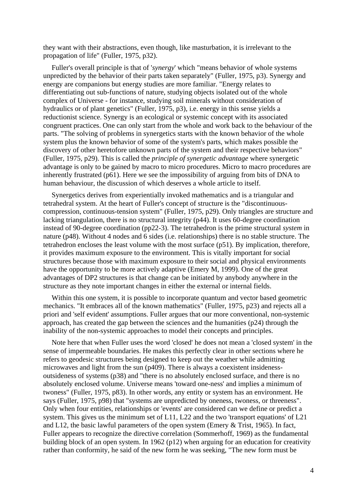they want with their abstractions, even though, like masturbation, it is irrelevant to the propagation of life" (Fuller, 1975, p32).

Fuller's overall principle is that of '*synergy*' which "means behavior of whole systems unpredicted by the behavior of their parts taken separately" (Fuller, 1975, p3). Synergy and energy are companions but energy studies are more familiar. "Energy relates to differentiating out sub-functions of nature, studying objects isolated out of the whole complex of Universe - for instance, studying soil minerals without consideration of hydraulics or of plant genetics" (Fuller, 1975, p3), i.e. energy in this sense yields a reductionist science. Synergy is an ecological or systemic concept with its associated congruent practices. One can only start from the whole and work back to the behaviour of the parts. "The solving of problems in synergetics starts with the known behavior of the whole system plus the known behavior of some of the system's parts, which makes possible the discovery of other heretofore unknown parts of the system and their respective behaviors" (Fuller, 1975, p29). This is called the *principle of synergetic advantage* where synergetic advantage is only to be gained by macro to micro procedures. Micro to macro procedures are inherently frustrated (p61). Here we see the impossibility of arguing from bits of DNA to human behaviour, the discussion of which deserves a whole article to itself.

Synergetics derives from experientially invoked mathematics and is a triangular and tetrahedral system. At the heart of Fuller's concept of structure is the "discontinuouscompression, continuous-tension system" (Fuller, 1975, p29). Only triangles are structure and lacking triangulation, there is no structural integrity (p44). It uses 60-degree coordination instead of 90-degree coordination (pp22-3). The tetrahedron is the prime structural *system* in nature (p48). Without 4 nodes and 6 sides (i.e. relationships) there is no stable structure. The tetrahedron encloses the least volume with the most surface (p51). By implication, therefore, it provides maximum exposure to the environment. This is vitally important for social structures because those with maximum exposure to their social and physical environments have the opportunity to be more actively adaptive (Emery M, 1999). One of the great advantages of DP2 structures is that change can be initiated by anybody anywhere in the structure as they note important changes in either the external or internal fields.

Within this one system, it is possible to incorporate quantum and vector based geometric mechanics. "It embraces all of the known mathematics" (Fuller, 1975, p23) and rejects all a priori and 'self evident' assumptions. Fuller argues that our more conventional, non-systemic approach, has created the gap between the sciences and the humanities (p24) through the inability of the non-systemic approaches to model their concepts and principles.

Note here that when Fuller uses the word 'closed' he does not mean a 'closed system' in the sense of impermeable boundaries. He makes this perfectly clear in other sections where he refers to geodesic structures being designed to keep out the weather while admitting microwaves and light from the sun (p409). There is always a coexistent insidenessoutsideness of systems (p38) and "there is no absolutely enclosed surface, and there is no absolutely enclosed volume. Universe means 'toward one-ness' and implies a minimum of twoness" (Fuller, 1975, p83). In other words, any entity or system has an environment. He says (Fuller, 1975, p98) that "systems are unpredicted by oneness, twoness, or threeness". Only when four entities, relationships or 'events' are considered can we define or predict a system. This gives us the minimum set of L11, L22 and the two 'transport equations' of L21 and L12, the basic lawful parameters of the open system (Emery & Trist, 1965). In fact, Fuller appears to recognize the directive correlation (Sommerhoff, 1969) as the fundamental building block of an open system. In 1962 (p12) when arguing for an education for creativity rather than conformity, he said of the new form he was seeking, "The new form must be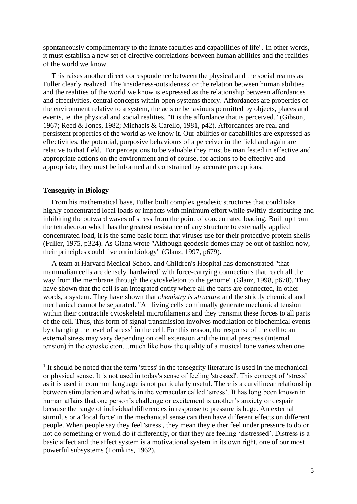spontaneously complimentary to the innate faculties and capabilities of life". In other words, it must establish a new set of directive correlations between human abilities and the realities of the world we know.

This raises another direct correspondence between the physical and the social realms as Fuller clearly realized. The 'insideness-outsideness' or the relation between human abilities and the realities of the world we know is expressed as the relationship between affordances and effectivities, central concepts within open systems theory. Affordances are properties of the environment relative to a system, the acts or behaviours permitted by objects, places and events, ie. the physical and social realities. "It is the affordance that is perceived." (Gibson, 1967; Reed & Jones, 1982; Michaels & Carello, 1981, p42). Affordances are real and persistent properties of the world as we know it. Our abilities or capabilities are expressed as effectivities, the potential, purposive behaviours of a perceiver in the field and again are relative to that field. For perceptions to be valuable they must be manifested in effective and appropriate actions on the environment and of course, for actions to be effective and appropriate, they must be informed and constrained by accurate perceptions.

## **Tensegrity in Biology**

From his mathematical base, Fuller built complex geodesic structures that could take highly concentrated local loads or impacts with minimum effort while swiftly distributing and inhibiting the outward waves of stress from the point of concentrated loading. Built up from the tetrahedron which has the greatest resistance of any structure to externally applied concentrated load, it is the same basic form that viruses use for their protective protein shells (Fuller, 1975, p324). As Glanz wrote "Although geodesic domes may be out of fashion now, their principles could live on in biology" (Glanz, 1997, p679).

A team at Harvard Medical School and Children's Hospital has demonstrated "that mammalian cells are densely 'hardwired' with force-carrying connections that reach all the way from the membrane through the cytoskeleton to the genome" (Glanz, 1998, p678). They have shown that the cell is an integrated entity where all the parts are connected, in other words, a system. They have shown that *chemistry is structure* and the strictly chemical and mechanical cannot be separated. "All living cells continually generate mechanical tension within their contractile cytoskeletal microfilaments and they transmit these forces to all parts of the cell. Thus, this form of signal transmission involves modulation of biochemical events by changing the level of stress<sup>1</sup> in the cell. For this reason, the response of the cell to an external stress may vary depending on cell extension and the initial prestress (internal tension) in the cytoskeleton…much like how the quality of a musical tone varies when one

<sup>&</sup>lt;sup>1</sup> It should be noted that the term 'stress' in the tensegrity literature is used in the mechanical or physical sense. It is not used in today's sense of feeling 'stressed'. This concept of 'stress' as it is used in common language is not particularly useful. There is a curvilinear relationship between stimulation and what is in the vernacular called 'stress'. It has long been known in human affairs that one person's challenge or excitement is another's anxiety or despair because the range of individual differences in response to pressure is huge. An external stimulus or a 'local force' in the mechanical sense can then have different effects on different people. When people say they feel 'stress', they mean they either feel under pressure to do or not do something or would do it differently, or that they are feeling 'distressed'. Distress is a basic affect and the affect system is a motivational system in its own right, one of our most powerful subsystems (Tomkins, 1962).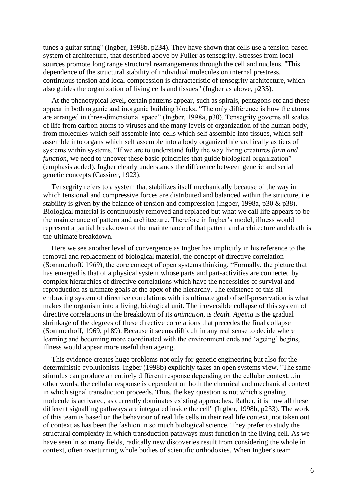tunes a guitar string" (Ingber, 1998b, p234). They have shown that cells use a tension-based system of architecture, that described above by Fuller as tensegrity. Stresses from local sources promote long range structural rearrangements through the cell and nucleus. "This dependence of the structural stability of individual molecules on internal prestress, continuous tension and local compression is characteristic of tensegrity architecture, which also guides the organization of living cells and tissues" (Ingber as above, p235).

At the phenotypical level, certain patterns appear, such as spirals, pentagons etc and these appear in both organic and inorganic building blocks. "The only difference is how the atoms are arranged in three-dimensional space" (Ingber, 1998a, p30). Tensegrity governs all scales of life from carbon atoms to viruses and the many levels of organization of the human body, from molecules which self assemble into cells which self assemble into tissues, which self assemble into organs which self assemble into a body organized hierarchically as tiers of systems within systems. "If we are to understand fully the way living creatures *form and function*, we need to uncover these basic principles that guide biological organization" (emphasis added). Ingber clearly understands the difference between generic and serial genetic concepts (Cassirer, 1923).

Tensegrity refers to a system that stabilizes itself mechanically because of the way in which tensional and compressive forces are distributed and balanced within the structure, i.e. stability is given by the balance of tension and compression (Ingber, 1998a, p30 & p38). Biological material is continuously removed and replaced but what we call life appears to be the maintenance of pattern and architecture. Therefore in Ingber's model, illness would represent a partial breakdown of the maintenance of that pattern and architecture and death is the ultimate breakdown.

Here we see another level of convergence as Ingber has implicitly in his reference to the removal and replacement of biological material, the concept of directive correlation (Sommerhoff, 1969), the core concept of open systems thinking. "Formally, the picture that has emerged is that of a physical system whose parts and part-activities are connected by complex hierarchies of directive correlations which have the necessities of survival and reproduction as ultimate goals at the apex of the hierarchy. The existence of this allembracing system of directive correlations with its ultimate goal of self-preservation is what makes the organism into a living, biological unit. The irreversible collapse of this system of directive correlations in the breakdown of its *animation*, is *death. Ageing* is the gradual shrinkage of the degrees of these directive correlations that precedes the final collapse (Sommerhoff, 1969, p189). Because it seems difficult in any real sense to decide where learning and becoming more coordinated with the environment ends and 'ageing' begins, illness would appear more useful than ageing.

This evidence creates huge problems not only for genetic engineering but also for the deterministic evolutionists. Ingber (1998b) explicitly takes an open systems view. "The same stimulus can produce an entirely different response depending on the cellular context…in other words, the cellular response is dependent on both the chemical and mechanical context in which signal transduction proceeds. Thus, the key question is not which signaling molecule is activated, as currently dominates existing approaches. Rather, it is how all these different signalling pathways are integrated inside the cell" (Ingber, 1998b, p233). The work of this team is based on the behaviour of real life cells in their real life context, not taken out of context as has been the fashion in so much biological science. They prefer to study the structural complexity in which transduction pathways must function in the living cell. As we have seen in so many fields, radically new discoveries result from considering the whole in context, often overturning whole bodies of scientific orthodoxies. When Ingber's team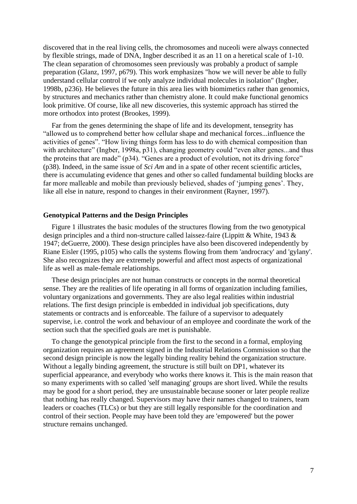discovered that in the real living cells, the chromosomes and nuceoli were always connected by flexible strings, made of DNA, Ingber described it as an 11 on a heretical scale of 1-10. The clean separation of chromosomes seen previously was probably a product of sample preparation (Glanz, 1997, p679). This work emphasizes "how we will never be able to fully understand cellular control if we only analyze individual molecules in isolation" (Ingber, 1998b, p236). He believes the future in this area lies with biomimetics rather than genomics, by structures and mechanics rather than chemistry alone. It could make functional genomics look primitive. Of course, like all new discoveries, this systemic approach has stirred the more orthodox into protest (Brookes, 1999).

Far from the genes determining the shape of life and its development, tensegrity has "allowed us to comprehend better how cellular shape and mechanical forces...influence the activities of genes". "How living things form has less to do with chemical composition than with architecture" (Ingber, 1998a, p31), changing geometry could "even alter genes...and thus the proteins that are made" (p34). "Genes are a product of evolution, not its driving force" (p38). Indeed, in the same issue of *Sci Am* and in a spate of other recent scientific articles, there is accumulating evidence that genes and other so called fundamental building blocks are far more malleable and mobile than previously believed, shades of 'jumping genes'. They, like all else in nature, respond to changes in their environment (Rayner, 1997).

## **Genotypical Patterns and the Design Principles**

Figure 1 illustrates the basic modules of the structures flowing from the two genotypical design principles and a third non-structure called laissez-faire (Lippitt & White, 1943 & 1947; deGuerre, 2000). These design principles have also been discovered independently by Riane Eisler (1995, p105) who calls the systems flowing from them 'androcracy' and 'gylany'. She also recognizes they are extremely powerful and affect most aspects of organizational life as well as male-female relationships.

These design principles are not human constructs or concepts in the normal theoretical sense. They are the realities of life operating in all forms of organization including families, voluntary organizations and governments. They are also legal realities within industrial relations. The first design principle is embedded in individual job specifications, duty statements or contracts and is enforceable. The failure of a supervisor to adequately supervise, i.e. control the work and behaviour of an employee and coordinate the work of the section such that the specified goals are met is punishable.

To change the genotypical principle from the first to the second in a formal, employing organization requires an agreement signed in the Industrial Relations Commission so that the second design principle is now the legally binding reality behind the organization structure. Without a legally binding agreement, the structure is still built on DP1, whatever its superficial appearance, and everybody who works there knows it. This is the main reason that so many experiments with so called 'self managing' groups are short lived. While the results may be good for a short period, they are unsustainable because sooner or later people realize that nothing has really changed. Supervisors may have their names changed to trainers, team leaders or coaches (TLCs) or but they are still legally responsible for the coordination and control of their section. People may have been told they are 'empowered' but the power structure remains unchanged.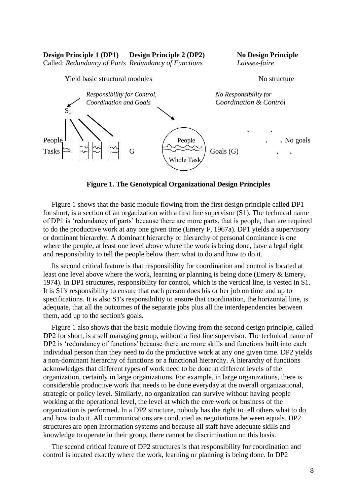**Design Principle 1 (DP1) Design Principle 2 (DP2) No Design Principle**

Called: *Redundancy of Parts Redundancy of Functions Laissez-faire*



**Figure 1. The Genotypical Organizational Design Principles**

Figure 1 shows that the basic module flowing from the first design principle called DP1 for short, is a section of an organization with a first line supervisor (S1). The technical name of DP1 is 'redundancy of parts' because there are more parts, that is people, than are required to do the productive work at any one given time (Emery F, 1967a). DP1 yields a supervisory or dominant hierarchy. A dominant hierarchy or hierarchy of personal dominance is one where the people, at least one level above where the work is being done, have a legal right and responsibility to tell the people below them what to do and how to do it.

Its second critical feature is that responsibility for coordination and control is located at least one level above where the work, learning or planning is being done (Emery & Emery, 1974). In DP1 structures, responsibility for control, which is the vertical line, is vested in S1. It is S1's responsibility to ensure that each person does his or her job on time and up to specifications. It is also S1's responsibility to ensure that coordination, the horizontal line, is adequate, that all the outcomes of the separate jobs plus all the interdependencies between them, add up to the section's goals.

Figure 1 also shows that the basic module flowing from the second design principle, called DP2 for short, is a self managing group, without a first line supervisor. The technical name of DP2 is 'redundancy of functions' because there are more skills and functions built into each individual person than they need to do the productive work at any one given time. DP2 yields a non-dominant hierarchy of functions or a functional hierarchy. A hierarchy of functions acknowledges that different types of work need to be done at different levels of the organization, certainly in large organizations. For example, in large organizations, there is considerable productive work that needs to be done everyday at the overall organizational, strategic or policy level. Similarly, no organization can survive without having people working at the operational level, the level at which the core work or business of the organization is performed. In a DP2 structure, nobody has the right to tell others what to do and how to do it. All communications are conducted as negotiations between equals. DP2 structures are open information systems and because all staff have adequate skills and knowledge to operate in their group, there cannot be discrimination on this basis.

The second critical feature of DP2 structures is that responsibility for coordination and control is located exactly where the work, learning or planning is being done. In DP2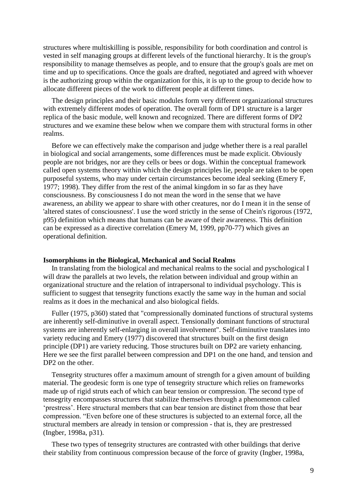structures where multiskilling is possible, responsibility for both coordination and control is vested in self managing groups at different levels of the functional hierarchy. It is the group's responsibility to manage themselves as people, and to ensure that the group's goals are met on time and up to specifications. Once the goals are drafted, negotiated and agreed with whoever is the authorizing group within the organization for this, it is up to the group to decide how to allocate different pieces of the work to different people at different times.

The design principles and their basic modules form very different organizational structures with extremely different modes of operation. The overall form of DP1 structure is a larger replica of the basic module, well known and recognized. There are different forms of DP2 structures and we examine these below when we compare them with structural forms in other realms.

Before we can effectively make the comparison and judge whether there is a real parallel in biological and social arrangements, some differences must be made explicit. Obviously people are not bridges, nor are they cells or bees or dogs. Within the conceptual framework called open systems theory within which the design principles lie, people are taken to be open purposeful systems, who may under certain circumstances become ideal seeking (Emery F, 1977; 1998). They differ from the rest of the animal kingdom in so far as they have consciousness. By consciousness I do not mean the word in the sense that we have awareness, an ability we appear to share with other creatures, nor do I mean it in the sense of 'altered states of consciousness'. I use the word strictly in the sense of Chein's rigorous (1972, p95) definition which means that humans can be aware of their awareness. This definition can be expressed as a directive correlation (Emery M, 1999, pp70-77) which gives an operational definition.

#### **Isomorphisms in the Biological, Mechanical and Social Realms**

In translating from the biological and mechanical realms to the social and pyschological I will draw the parallels at two levels, the relation between individual and group within an organizational structure and the relation of intrapersonal to individual psychology. This is sufficient to suggest that tensegrity functions exactly the same way in the human and social realms as it does in the mechanical and also biological fields.

Fuller (1975, p360) stated that "compressionally dominated functions of structural systems are inherently self-diminutive in overall aspect. Tensionally dominant functions of structural systems are inherently self-enlarging in overall involvement". Self-diminutive translates into variety reducing and Emery (1977) discovered that structures built on the first design principle (DP1) are variety reducing. Those structures built on DP2 are variety enhancing. Here we see the first parallel between compression and DP1 on the one hand, and tension and DP2 on the other.

Tensegrity structures offer a maximum amount of strength for a given amount of building material. The geodesic form is one type of tensegrity structure which relies on frameworks made up of rigid struts each of which can bear tension or compression. The second type of tensegrity encompasses structures that stabilize themselves through a phenomenon called 'prestress'. Here structural members that can bear tension are distinct from those that bear compression. "Even before one of these structures is subjected to an external force, all the structural members are already in tension or compression - that is, they are prestressed (Ingber, 1998a, p31).

These two types of tensegrity structures are contrasted with other buildings that derive their stability from continuous compression because of the force of gravity (Ingber, 1998a,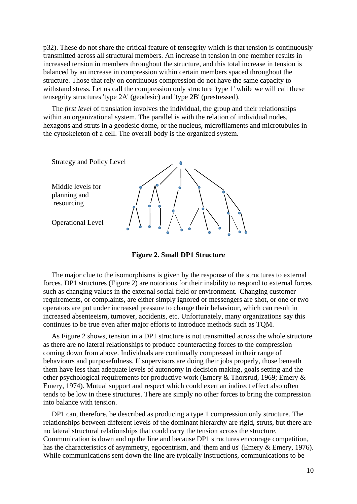p32). These do not share the critical feature of tensegrity which is that tension is continuously transmitted across all structural members. An increase in tension in one member results in increased tension in members throughout the structure, and this total increase in tension is balanced by an increase in compression within certain members spaced throughout the structure. Those that rely on continuous compression do not have the same capacity to withstand stress. Let us call the compression only structure 'type 1' while we will call these tensegrity structures 'type 2A' (geodesic) and 'type 2B' (prestressed).

The *first level* of translation involves the individual, the group and their relationships within an organizational system. The parallel is with the relation of individual nodes, hexagons and struts in a geodesic dome, or the nucleus, microfilaments and microtubules in the cytoskeleton of a cell. The overall body is the organized system.



**Figure 2. Small DP1 Structure**

The major clue to the isomorphisms is given by the response of the structures to external forces. DP1 structures (Figure 2) are notorious for their inability to respond to external forces such as changing values in the external social field or environment. Changing customer requirements, or complaints, are either simply ignored or messengers are shot, or one or two operators are put under increased pressure to change their behaviour, which can result in increased absenteeism, turnover, accidents, etc. Unfortunately, many organizations say this continues to be true even after major efforts to introduce methods such as TQM.

As Figure 2 shows, tension in a DP1 structure is not transmitted across the whole structure as there are no lateral relationships to produce counteracting forces to the compression coming down from above. Individuals are continually compressed in their range of behaviours and purposefulness. If supervisors are doing their jobs properly, those beneath them have less than adequate levels of autonomy in decision making, goals setting and the other psychological requirements for productive work (Emery & Thorsrud, 1969; Emery & Emery, 1974). Mutual support and respect which could exert an indirect effect also often tends to be low in these structures. There are simply no other forces to bring the compression into balance with tension.

DP1 can, therefore, be described as producing a type 1 compression only structure. The relationships between different levels of the dominant hierarchy are rigid, struts, but there are no lateral structural relationships that could carry the tension across the structure. Communication is down and up the line and because DP1 structures encourage competition, has the characteristics of asymmetry, egocentrism, and 'them and us' (Emery & Emery, 1976). While communications sent down the line are typically instructions, communications to be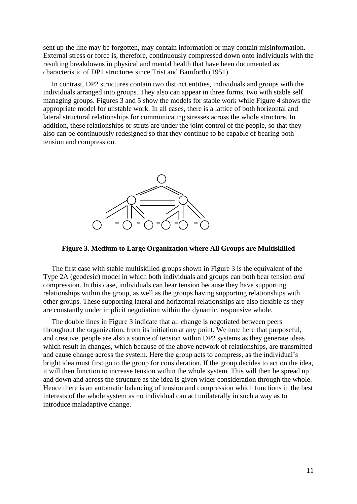sent up the line may be forgotten, may contain information or may contain misinformation. External stress or force is, therefore, continuously compressed down onto individuals with the resulting breakdowns in physical and mental health that have been documented as characteristic of DP1 structures since Trist and Bamforth (1951).

In contrast, DP2 structures contain two distinct entities, individuals and groups with the individuals arranged into groups. They also can appear in three forms, two with stable self managing groups. Figures 3 and 5 show the models for stable work while Figure 4 shows the appropriate model for unstable work. In all cases, there is a lattice of both horizontal and lateral structural relationships for communicating stresses across the whole structure. In addition, these relationships or struts are under the joint control of the people, so that they also can be continuously redesigned so that they continue to be capable of bearing both tension and compression.



#### **Figure 3. Medium to Large Organization where All Groups are Multiskilled**

The first case with stable multiskilled groups shown in Figure 3 is the equivalent of the Type 2A (geodesic) model in which both individuals and groups can both bear tension *and* compression. In this case, individuals can bear tension because they have supporting relationships within the group, as well as the groups having supporting relationships with other groups. These supporting lateral and horizontal relationships are also flexible as they are constantly under implicit negotiation within the dynamic, responsive whole.

The double lines in Figure 3 indicate that all change is negotiated between peers throughout the organization, from its initiation at any point. We note here that purposeful, and creative, people are also a source of tension within DP2 systems as they generate ideas which result in changes, which because of the above network of relationships, are transmitted and cause change across the system. Here the group acts to compress, as the individual's bright idea must first go to the group for consideration. If the group decides to act on the idea, it will then function to increase tension within the whole system. This will then be spread up and down and across the structure as the idea is given wider consideration through the whole. Hence there is an automatic balancing of tension and compression which functions in the best interests of the whole system as no individual can act unilaterally in such a way as to introduce maladaptive change.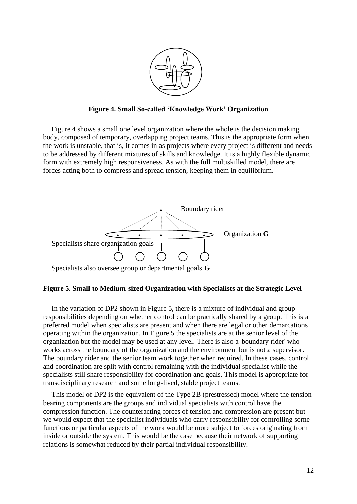

**Figure 4. Small So-called 'Knowledge Work' Organization**

Figure 4 shows a small one level organization where the whole is the decision making body, composed of temporary, overlapping project teams. This is the appropriate form when the work is unstable, that is, it comes in as projects where every project is different and needs to be addressed by different mixtures of skills and knowledge. It is a highly flexible dynamic form with extremely high responsiveness. As with the full multiskilled model, there are forces acting both to compress and spread tension, keeping them in equilibrium.



# **Figure 5. Small to Medium-sized Organization with Specialists at the Strategic Level**

In the variation of DP2 shown in Figure 5, there is a mixture of individual and group responsibilities depending on whether control can be practically shared by a group. This is a preferred model when specialists are present and when there are legal or other demarcations operating within the organization. In Figure 5 the specialists are at the senior level of the organization but the model may be used at any level. There is also a 'boundary rider' who works across the boundary of the organization and the environment but is not a supervisor. The boundary rider and the senior team work together when required. In these cases, control and coordination are split with control remaining with the individual specialist while the specialists still share responsibility for coordination and goals. This model is appropriate for transdisciplinary research and some long-lived, stable project teams.

This model of DP2 is the equivalent of the Type 2B (prestressed) model where the tension bearing components are the groups and individual specialists with control have the compression function. The counteracting forces of tension and compression are present but we would expect that the specialist individuals who carry responsibility for controlling some functions or particular aspects of the work would be more subject to forces originating from inside or outside the system. This would be the case because their network of supporting relations is somewhat reduced by their partial individual responsibility.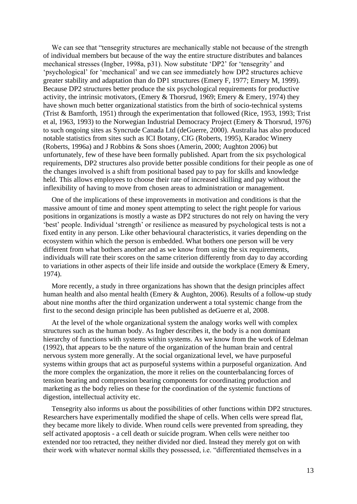We can see that "tensegrity structures are mechanically stable not because of the strength of individual members but because of the way the entire structure distributes and balances mechanical stresses (Ingber, 1998a, p31). Now substitute 'DP2' for 'tensegrity' and 'psychological' for 'mechanical' and we can see immediately how DP2 structures achieve greater stability and adaptation than do DP1 structures (Emery F, 1977; Emery M, 1999). Because DP2 structures better produce the six psychological requirements for productive activity, the intrinsic motivators, (Emery & Thorsrud, 1969; Emery & Emery, 1974) they have shown much better organizational statistics from the birth of socio-technical systems (Trist & Bamforth, 1951) through the experimentation that followed (Rice, 1953, 1993; Trist et al, 1963, 1993) to the Norwegian Industrial Democracy Project (Emery & Thorsrud, 1976) to such ongoing sites as Syncrude Canada Ltd (deGuerre, 2000). Australia has also produced notable statistics from sites such as ICI Botany, CIG (Roberts, 1995), Karadoc Winery (Roberts, 1996a) and J Robbins & Sons shoes (Amerin, 2000; Aughton 2006) but unfortunately, few of these have been formally published. Apart from the six psychological requirements, DP2 structures also provide better possible conditions for their people as one of the changes involved is a shift from positional based pay to pay for skills and knowledge held. This allows employees to choose their rate of increased skilling and pay without the inflexibility of having to move from chosen areas to administration or management.

One of the implications of these improvements in motivation and conditions is that the massive amount of time and money spent attempting to select the right people for various positions in organizations is mostly a waste as DP2 structures do not rely on having the very 'best' people. Individual 'strength' or resilience as measured by psychological tests is not a fixed entity in any person. Like other behavioural characteristics, it varies depending on the ecosystem within which the person is embedded. What bothers one person will be very different from what bothers another and as we know from using the six requirements, individuals will rate their scores on the same criterion differently from day to day according to variations in other aspects of their life inside and outside the workplace (Emery & Emery, 1974).

More recently, a study in three organizations has shown that the design principles affect human health and also mental health (Emery & Aughton, 2006). Results of a follow-up study about nine months after the third organization underwent a total systemic change from the first to the second design principle has been published as deGuerre et al, 2008.

At the level of the whole organizational system the analogy works well with complex structures such as the human body. As Ingber describes it, the body is a non dominant hierarchy of functions with systems within systems. As we know from the work of Edelman (1992), that appears to be the nature of the organization of the human brain and central nervous system more generally. At the social organizational level, we have purposeful systems within groups that act as purposeful systems within a purposeful organization. And the more complex the organization, the more it relies on the counterbalancing forces of tension bearing and compression bearing components for coordinating production and marketing as the body relies on these for the coordination of the systemic functions of digestion, intellectual activity etc.

Tensegrity also informs us about the possibilities of other functions within DP2 structures. Researchers have experimentally modified the shape of cells. When cells were spread flat, they became more likely to divide. When round cells were prevented from spreading, they self activated apoptosis - a cell death or suicide program. When cells were neither too extended nor too retracted, they neither divided nor died. Instead they merely got on with their work with whatever normal skills they possessed, i.e. "differentiated themselves in a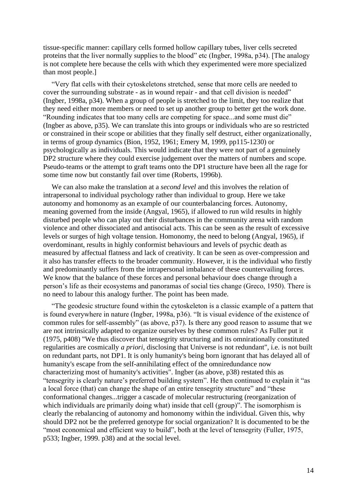tissue-specific manner: capillary cells formed hollow capillary tubes, liver cells secreted proteins that the liver normally supplies to the blood" etc (Ingber, 1998a, p34). [The analogy is not complete here because the cells with which they experimented were more specialized than most people.]

"Very flat cells with their cytoskeletons stretched, sense that more cells are needed to cover the surrounding substrate - as in wound repair - and that cell division is needed" (Ingber, 1998a, p34). When a group of people is stretched to the limit, they too realize that they need either more members or need to set up another group to better get the work done. "Rounding indicates that too many cells are competing for space...and some must die" (Ingber as above, p35). We can translate this into groups or individuals who are so restricted or constrained in their scope or abilities that they finally self destruct, either organizationally, in terms of group dynamics (Bion, 1952, 1961; Emery M, 1999, pp115-1230) or psychologically as individuals. This would indicate that they were not part of a genuinely DP2 structure where they could exercise judgement over the matters of numbers and scope. Pseudo-teams or the attempt to graft teams onto the DP1 structure have been all the rage for some time now but constantly fail over time (Roberts, 1996b).

We can also make the translation at a *second level* and this involves the relation of intrapersonal to individual psychology rather than individual to group. Here we take autonomy and homonomy as an example of our counterbalancing forces. Autonomy, meaning governed from the inside (Angyal, 1965), if allowed to run wild results in highly disturbed people who can play out their disturbances in the community arena with random violence and other dissociated and antisocial acts. This can be seen as the result of excessive levels or surges of high voltage tension. Homonomy, the need to belong (Angyal, 1965), if overdominant, results in highly conformist behaviours and levels of psychic death as measured by affectual flatness and lack of creativity. It can be seen as over-compression and it also has transfer effects to the broader community. However, it is the individual who firstly and predominantly suffers from the intrapersonal imbalance of these countervailing forces. We know that the balance of these forces and personal behaviour does change through a person's life as their ecosystems and panoramas of social ties change (Greco, 1950). There is no need to labour this analogy further. The point has been made.

"The geodesic structure found within the cytoskeleton is a classic example of a pattern that is found everywhere in nature (Ingber, 1998a, p36). "It is visual evidence of the existence of common rules for self-assembly" (as above,  $p37$ ). Is there any good reason to assume that we are not intrinsically adapted to organize ourselves by these common rules? As Fuller put it (1975, p408) "We thus discover that tensegrity structuring and its omnirationally constituted regularities are cosmically *a priori*, disclosing that Universe is not redundant", i.e. is not built on redundant parts, not DP1. It is only humanity's being born ignorant that has delayed all of humanity's escape from the self-annihilating effect of the omniredundance now characterizing most of humanity's activities". Ingber (as above, p38) restated this as "tensegrity is clearly nature's preferred building system". He then continued to explain it "as a local force (that) can change the shape of an entire tensegrity structure" and "these conformational changes...trigger a cascade of molecular restructuring (reorganization of which individuals are primarily doing what) inside that cell (group)". The isomorphism is clearly the rebalancing of autonomy and homonomy within the individual. Given this, why should DP2 not be the preferred genotype for social organization? It is documented to be the "most economical and efficient way to build", both at the level of tensegrity (Fuller, 1975, p533; Ingber, 1999. p38) and at the social level.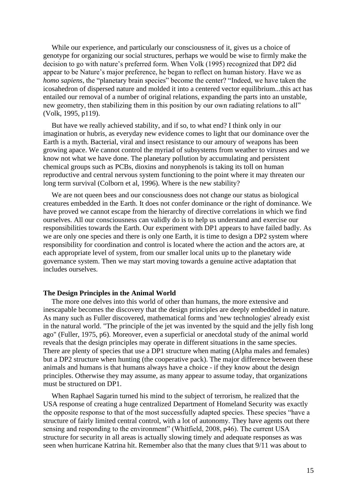While our experience, and particularly our consciousness of it, gives us a choice of genotype for organizing our social structures, perhaps we would be wise to firmly make the decision to go with nature's preferred form. When Volk (1995) recognized that DP2 did appear to be Nature's major preference, he began to reflect on human history. Have we as *homo sapiens*, the "planetary brain species" become the center? "Indeed, we have taken the icosahedron of dispersed nature and molded it into a centered vector equilibrium...this act has entailed our removal of a number of original relations, expanding the parts into an unstable, new geometry, then stabilizing them in this position by our own radiating relations to all" (Volk, 1995, p119).

But have we really achieved stability, and if so, to what end? I think only in our imagination or hubris, as everyday new evidence comes to light that our dominance over the Earth is a myth. Bacterial, viral and insect resistance to our amoury of weapons has been growing apace. We cannot control the myriad of subsystems from weather to viruses and we know not what we have done. The planetary pollution by accumulating and persistent chemical groups such as PCBs, dioxins and nonyphenols is taking its toll on human reproductive and central nervous system functioning to the point where it may threaten our long term survival (Colborn et al, 1996). Where is the new stability?

We are not queen bees and our consciousness does not change our status as biological creatures embedded in the Earth. It does not confer dominance or the right of dominance. We have proved we cannot escape from the hierarchy of directive correlations in which we find ourselves. All our consciousness can validly do is to help us understand and exercise our responsibilities towards the Earth. Our experiment with DP1 appears to have failed badly. As we are only one species and there is only one Earth, it is time to design a DP2 system where responsibility for coordination and control is located where the action and the actors are, at each appropriate level of system, from our smaller local units up to the planetary wide governance system. Then we may start moving towards a genuine active adaptation that includes ourselves.

## **The Design Principles in the Animal World**

The more one delves into this world of other than humans, the more extensive and inescapable becomes the discovery that the design principles are deeply embedded in nature. As many such as Fuller discovered, mathematical forms and 'new technologies' already exist in the natural world. "The principle of the jet was invented by the squid and the jelly fish long ago" (Fuller, 1975, p6). Moreover, even a superficial or anecdotal study of the animal world reveals that the design principles may operate in different situations in the same species. There are plenty of species that use a DP1 structure when mating (Alpha males and females) but a DP2 structure when hunting (the cooperative pack). The major difference between these animals and humans is that humans always have a choice - if they know about the design principles. Otherwise they may assume, as many appear to assume today, that organizations must be structured on DP1.

When Raphael Sagarin turned his mind to the subject of terrorism, he realized that the USA response of creating a huge centralized Department of Homeland Security was exactly the opposite response to that of the most successfully adapted species. These species "have a structure of fairly limited central control, with a lot of autonomy. They have agents out there sensing and responding to the environment" (Whitfield, 2008, p46). The current USA structure for security in all areas is actually slowing timely and adequate responses as was seen when hurricane Katrina hit. Remember also that the many clues that 9/11 was about to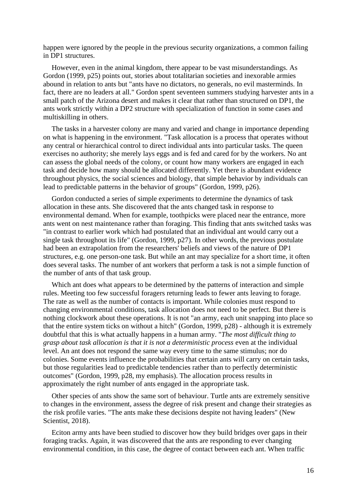happen were ignored by the people in the previous security organizations, a common failing in DP1 structures.

However, even in the animal kingdom, there appear to be vast misunderstandings. As Gordon (1999, p25) points out, stories about totalitarian societies and inexorable armies abound in relation to ants but "ants have no dictators, no generals, no evil masterminds. In fact, there are no leaders at all." Gordon spent seventeen summers studying harvester ants in a small patch of the Arizona desert and makes it clear that rather than structured on DP1, the ants work strictly within a DP2 structure with specialization of function in some cases and multiskilling in others.

The tasks in a harvester colony are many and varied and change in importance depending on what is happening in the environment. "Task allocation is a process that operates without any central or hierarchical control to direct individual ants into particular tasks. The queen exercises no authority; she merely lays eggs and is fed and cared for by the workers. No ant can assess the global needs of the colony, or count how many workers are engaged in each task and decide how many should be allocated differently. Yet there is abundant evidence throughout physics, the social sciences and biology, that simple behavior by individuals can lead to predictable patterns in the behavior of groups" (Gordon, 1999, p26).

Gordon conducted a series of simple experiments to determine the dynamics of task allocation in these ants. She discovered that the ants changed task in response to environmental demand. When for example, toothpicks were placed near the entrance, more ants went on nest maintenance rather than foraging. This finding that ants switched tasks was "in contrast to earlier work which had postulated that an individual ant would carry out a single task throughout its life" (Gordon, 1999, p27). In other words, the previous postulate had been an extrapolation from the researchers' beliefs and views of the nature of DP1 structures, e.g. one person-one task. But while an ant may specialize for a short time, it often does several tasks. The number of ant workers that perform a task is not a simple function of the number of ants of that task group.

Which ant does what appears to be determined by the patterns of interaction and simple rules. Meeting too few successful foragers returning leads to fewer ants leaving to forage. The rate as well as the number of contacts is important. While colonies must respond to changing environmental conditions, task allocation does not need to be perfect. But there is nothing clockwork about these operations. It is not "an army, each unit snapping into place so that the entire system ticks on without a hitch" (Gordon, 1999, p28) - although it is extremely doubtful that this is what actually happens in a human army. "*The most difficult thing to grasp about task allocation is that it is not a deterministic process* even at the individual level. An ant does not respond the same way every time to the same stimulus; nor do colonies. Some events influence the probabilities that certain ants will carry on certain tasks, but those regularities lead to predictable tendencies rather than to perfectly deterministic outcomes" (Gordon, 1999, p28, my emphasis). The allocation process results in approximately the right number of ants engaged in the appropriate task.

Other species of ants show the same sort of behaviour. Turtle ants are extremely sensitive to changes in the environment, assess the degree of risk present and change their strategies as the risk profile varies. "The ants make these decisions despite not having leaders" (New Scientist, 2018).

Eciton army ants have been studied to discover how they build bridges over gaps in their foraging tracks. Again, it was discovered that the ants are responding to ever changing environmental condition, in this case, the degree of contact between each ant. When traffic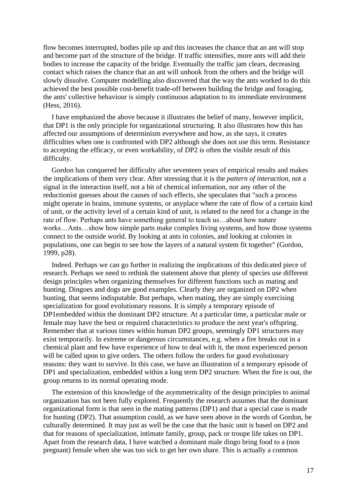flow becomes interrupted, bodies pile up and this increases the chance that an ant will stop and become part of the structure of the bridge. If traffic intensifies, more ants will add their bodies to increase the capacity of the bridge. Eventually the traffic jam clears, decreasing contact which raises the chance that an ant will unhook from the others and the bridge will slowly dissolve. Computer modelling also discovered that the way the ants worked to do this achieved the best possible cost-benefit trade-off between building the bridge and foraging, the ants' collective behaviour is simply continuous adaptation to its immediate environment (Hess, 2016).

I have emphasized the above because it illustrates the belief of many, however implicit, that DP1 is the only principle for organizational structuring. It also illustrates how this has affected our assumptions of determinism everywhere and how, as she says, it creates difficulties when one is confronted with DP2 although she does not use this term. Resistance to accepting the efficacy, or even workability, of DP2 is often the visible result of this difficulty.

Gordon has conquered her difficulty after seventeen years of empirical results and makes the implications of them very clear. After stressing that it is the *pattern of interaction*, not a signal in the interaction itself, not a bit of chemical information, nor any other of the reductionist guesses about the causes of such effects, she speculates that "such a process might operate in brains, immune systems, or anyplace where the rate of flow of a certain kind of unit, or the activity level of a certain kind of unit, is related to the need for a change in the rate of flow. Perhaps ants have something general to teach us…about how nature works…Ants…show how simple parts make complex living systems, and how those systems connect to the outside world. By looking at ants in colonies, and looking at colonies in populations, one can begin to see how the layers of a natural system fit together" (Gordon, 1999, p28).

Indeed. Perhaps we can go further in realizing the implications of this dedicated piece of research. Perhaps we need to rethink the statement above that plenty of species use different design principles when organizing themselves for different functions such as mating and hunting. Dingoes and dogs are good examples. Clearly they are organized on DP2 when hunting, that seems indisputable. But perhaps, when mating, they are simply exercising specialization for good evolutionary reasons. It is simply a temporary episode of DP1embedded within the dominant DP2 structure. At a particular time, a particular male or female may have the best or required characteristics to produce the next year's offspring. Remember that at various times within human DP2 groups, seemingly DP1 structures may exist temporarily. In extreme or dangerous circumstances, e.g. when a fire breaks out in a chemical plant and few have experience of how to deal with it, the most experienced person will be called upon to give orders. The others follow the orders for good evolutionary reasons: they want to survive. In this case, we have an illustration of a temporary episode of DP1 and specialization, embedded within a long term DP2 structure. When the fire is out, the group returns to its normal operating mode.

The extension of this knowledge of the asymmetricality of the design principles to animal organization has not been fully explored. Frequently the research assumes that the dominant organizational form is that seen in the mating patterns (DP1) and that a special case is made for hunting (DP2). That assumption could, as we have seen above in the words of Gordon, be culturally determined. It may just as well be the case that the basic unit is based on DP2 and that for reasons of specialization, intimate family, group, pack or troupe life takes on DP1. Apart from the research data, I have watched a dominant male dingo bring food to a (non pregnant) female when she was too sick to get her own share. This is actually a common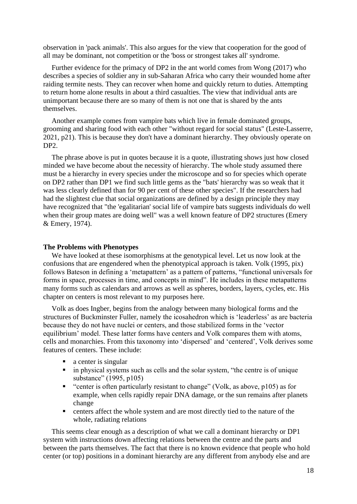observation in 'pack animals'. This also argues for the view that cooperation for the good of all may be dominant, not competition or the 'boss or strongest takes all' syndrome.

Further evidence for the primacy of DP2 in the ant world comes from Wong (2017) who describes a species of soldier any in sub-Saharan Africa who carry their wounded home after raiding termite nests. They can recover when home and quickly return to duties. Attempting to return home alone results in about a third casualties. The view that individual ants are unimportant because there are so many of them is not one that is shared by the ants themselves.

Another example comes from vampire bats which live in female dominated groups, grooming and sharing food with each other "without regard for social status" (Leste-Lasserre, 2021, p21). This is because they don't have a dominant hierarchy. They obviously operate on DP<sub>2</sub>.

The phrase above is put in quotes because it is a quote, illustrating shows just how closed minded we have become about the necessity of hierarchy. The whole study assumed there must be a hierarchy in every species under the microscope and so for species which operate on DP2 rather than DP1 we find such little gems as the "bats' hierarchy was so weak that it was less clearly defined than for 90 per cent of these other species". If the researchers had had the slightest clue that social organizations are defined by a design principle they may have recognized that "the 'egalitarian' social life of vampire bats suggests individuals do well when their group mates are doing well" was a well known feature of DP2 structures (Emery & Emery, 1974).

## **The Problems with Phenotypes**

We have looked at these isomorphisms at the genotypical level. Let us now look at the confusions that are engendered when the phenotypical approach is taken. Volk (1995, pix) follows Bateson in defining a 'metapattern' as a pattern of patterns, "functional universals for forms in space, processes in time, and concepts in mind". He includes in these metapatterns many forms such as calendars and arrows as well as spheres, borders, layers, cycles, etc. His chapter on centers is most relevant to my purposes here.

Volk as does Ingber, begins from the analogy between many biological forms and the structures of Buckminster Fuller, namely the icosahedron which is 'leaderless' as are bacteria because they do not have nuclei or centers, and those stabilized forms in the 'vector equilibrium' model. These latter forms have centers and Volk compares them with atoms, cells and monarchies. From this taxonomy into 'dispersed' and 'centered', Volk derives some features of centers. These include:

- $\blacksquare$  a center is singular
- **Example 1** in physical systems such as cells and the solar system, "the centre is of unique substance" (1995, p105)
- "center is often particularly resistant to change" (Volk, as above, p105) as for example, when cells rapidly repair DNA damage, or the sun remains after planets change
- centers affect the whole system and are most directly tied to the nature of the whole, radiating relations

This seems clear enough as a description of what we call a dominant hierarchy or DP1 system with instructions down affecting relations between the centre and the parts and between the parts themselves. The fact that there is no known evidence that people who hold center (or top) positions in a dominant hierarchy are any different from anybody else and are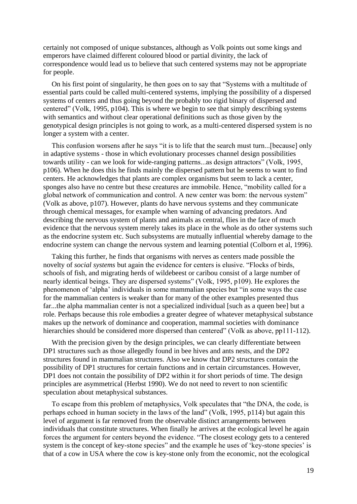certainly not composed of unique substances, although as Volk points out some kings and emperors have claimed different coloured blood or partial divinity, the lack of correspondence would lead us to believe that such centered systems may not be appropriate for people.

On his first point of singularity, he then goes on to say that "Systems with a multitude of essential parts could be called multi-centered systems, implying the possibility of a dispersed systems of centers and thus going beyond the probably too rigid binary of dispersed and centered" (Volk, 1995, p104). This is where we begin to see that simply describing systems with semantics and without clear operational definitions such as those given by the genotypical design principles is not going to work, as a multi-centered dispersed system is no longer a system with a center.

This confusion worsens after he says "it is to life that the search must turn...[because] only in adaptive systems - those in which evolutionary processes channel design possibilities towards utility - can we look for wide-ranging patterns...as design attractors" (Volk, 1995, p106). When he does this he finds mainly the dispersed pattern but he seems to want to find centers. He acknowledges that plants are complex organisms but seem to lack a center, sponges also have no centre but these creatures are immobile. Hence, "mobility called for a global network of communication and control. A new center was born: the nervous system" (Volk as above, p107). However, plants do have nervous systems and they communicate through chemical messages, for example when warning of advancing predators. And describing the nervous system of plants and animals as central, flies in the face of much evidence that the nervous system merely takes its place in the whole as do other systems such as the endocrine system etc. Such subsystems are mutually influential whereby damage to the endocrine system can change the nervous system and learning potential (Colborn et al, 1996).

Taking this further, he finds that organisms with nerves as centers made possible the novelty of *social systems* but again the evidence for centers is elusive. "Flocks of birds, schools of fish, and migrating herds of wildebeest or caribou consist of a large number of nearly identical beings. They are dispersed systems" (Volk, 1995, p109). He explores the phenomenon of 'alpha' individuals in some mammalian species but "in some ways the case for the mammalian centers is weaker than for many of the other examples presented thus far...the alpha mammalian center is not a specialized individual [such as a queen bee] but a role. Perhaps because this role embodies a greater degree of whatever metaphysical substance makes up the network of dominance and cooperation, mammal societies with dominance hierarchies should be considered more dispersed than centered" (Volk as above, pp111-112).

With the precision given by the design principles, we can clearly differentiate between DP1 structures such as those allegedly found in bee hives and ants nests, and the DP2 structures found in mammalian structures. Also we know that DP2 structures contain the possibility of DP1 structures for certain functions and in certain circumstances. However, DP1 does not contain the possibility of DP2 within it for short periods of time. The design principles are asymmetrical (Herbst 1990). We do not need to revert to non scientific speculation about metaphysical substances.

To escape from this problem of metaphysics, Volk speculates that "the DNA, the code, is perhaps echoed in human society in the laws of the land" (Volk, 1995, p114) but again this level of argument is far removed from the observable distinct arrangements between individuals that constitute structures. When finally he arrives at the ecological level he again forces the argument for centers beyond the evidence. "The closest ecology gets to a centered system is the concept of key-stone species" and the example he uses of 'key-stone species' is that of a cow in USA where the cow is key-stone only from the economic, not the ecological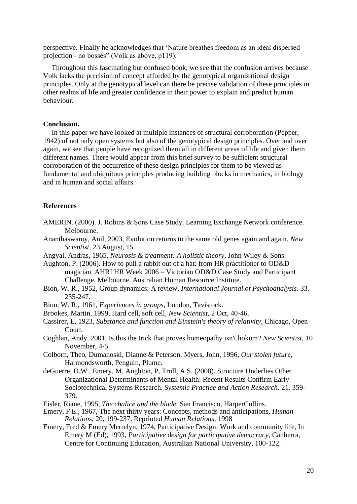perspective. Finally he acknowledges that 'Nature breathes freedom as an ideal dispersed projection - no bosses" (Volk as above, p119).

Throughout this fascinating but confused book, we see that the confusion arrives because Volk lacks the precision of concept afforded by the genotypical organizational design principles. Only at the genotypical level can there be precise validation of these principles in other realms of life and greater confidence in their power to explain and predict human behaviour.

# **Conclusion.**

In this paper we have looked at multiple instances of structural corroboration (Pepper, 1942) of not only open systems but also of the genotypical design principles. Over and over again, we see that people have recognized them all in different areas of life and given them different names. There would appear from this brief survey to be sufficient structural corroboration of the occurrence of these design principles for them to be viewed as fundamental and ubiquitous principles producing building blocks in mechanics, in biology and in human and social affairs.

## **References**

- AMERIN. (2000). J. Robins & Sons Case Study. Learning Exchange Network conference. Melbourne.
- Ananthaswamy, Anil, 2003, Evolution returns to the same old genes again and again. *New Scientist*, 23 August, 15.
- Angyal, Andras, 1965, *Neurosis & treatment: A holistic theory,* John Wiley & Sons.
- Aughton, P. (2006). How to pull a rabbit out of a hat: from HR practitioner to OD&D magician. AHRI HR Week 2006 – Victorian OD&D Case Study and Participant Challenge. Melbourne. Australian Human Resource Institute.
- Bion, W. R., 1952, Group dynamics: A review, *International Journal of Psychoanalysis.* 33, 235-247.
- Bion, W. R., 1961, *Experiences in groups,* London, Tavistock.
- Brookes, Martin, 1999, Hard cell, soft cell, *New Scientist,* 2 Oct, 40-46.
- Cassirer, E, 1923, *Substance and function and Einstein's theory of relativity*, Chicago, Open Court.
- Coghlan, Andy, 2001, Is this the trick that proves homeopathy isn't hokum? *New Scientist,* 10 November, 4-5.
- Colborn, Theo, Dumanoski, Dianne & Peterson, Myers, John, 1996, *Our stolen future*, Harmondsworth, Penguin, Plume.
- deGuerre, D.W., Emery, M, Aughton, P, Trull, A.S. (2008). Structure Underlies Other Organizational Determinants of Mental Health: Recent Results Confirm Early Sociotechnical Systems Research. *Systemic Practice and Action Research*. 21. 359- 379.
- Eisler, Riane, 1995, *The chalice and the blade*. San Francisco, HarperCollins.
- Emery, F E., 1967, The next thirty years: Concepts, methods and anticipations, *Human Relations,* 20, 199-237. Reprinted *Human Relations*, 1998
- Emery, Fred & Emery Merrelyn, 1974, Participative Design: Work and community life, In Emery M (Ed), 1993, *Participative* d*esign for participative democracy,* Canberra, Centre for Continuing Education, Australian National University, 100-122.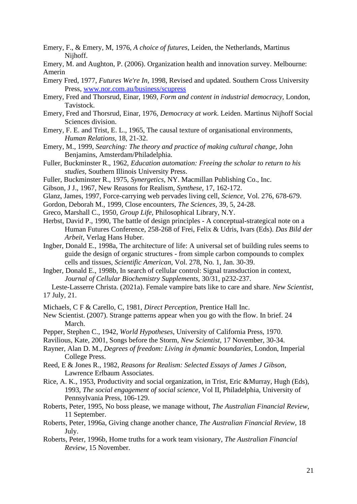- Emery, F., & Emery, M, 1976, *A choice of futures,* Leiden, the Netherlands, Martinus Nijhoff.
- Emery, M. and Aughton, P. (2006). Organization health and innovation survey. Melbourne: Amerin
- Emery Fred, 1977, *Futures We're In,* 1998, Revised and updated. Southern Cross University Press, [www.nor.com.au/business/scupress](http://www.nor.com.au/business/scupress)
- Emery, Fred and Thorsrud, Einar, 1969, *Form and content in industrial democracy,* London, Tavistock.
- Emery, Fred and Thorsrud, Einar, 1976, *Democracy at work*. Leiden. Martinus Nijhoff Social Sciences division.
- Emery, F. E. and Trist, E. L., 1965, The causal texture of organisational environments, *Human Relations,* 18, 21-32.
- Emery, M., 1999, *Searching: The theory and practice of making cultural change,* John Benjamins, Amsterdam/Philadelphia.
- Fuller, Buckminster R., 1962, *Education automation: Freeing the scholar to return to his studies,* Southern Illinois University Press.
- Fuller, Buckminster R., 1975, *Synergetics,* NY. Macmillan Publishing Co., Inc.
- Gibson, J J., 1967, New Reasons for Realism, *Synthese,* 17, 162-172.
- Glanz, James, 1997, Force-carrying web pervades living cell, *Science,* Vol. 276, 678-679.
- Gordon, Deborah M., 1999, Close encounters, *The Sciences,* 39, 5, 24-28.
- Greco, Marshall C., 1950, *Group Life,* Philosophical Library, N.Y.
- Herbst, David P., 1990, The battle of design principles A conceptual-strategical note on a Human Futures Conference, 258-268 of Frei, Felix & Udris, Ivars (Eds). *Das Bild der Arbeit,* Verlag Hans Huber.
- Ingber, Donald E., 1998a, The architecture of life: A universal set of building rules seems to guide the design of organic structures - from simple carbon compounds to complex cells and tissues, *Scientific American,* Vol. 278, No. 1, Jan. 30-39.
- Ingber, Donald E., 1998b, In search of cellular control: Signal transduction in context, *Journal of Cellular Biochemistry Supplements,* 30/31, p232-237.
- Leste-Lasserre Christa. (2021a). Female vampire bats like to care and share. *New Scientist*, 17 July, 21.
- Michaels, C F & Carello, C, 1981, *Direct Perception,* Prentice Hall Inc.
- New Scientist. (2007). Strange patterns appear when you go with the flow. In brief. 24 March.
- Pepper, Stephen C., 1942, *World Hypotheses,* University of California Press, 1970.
- Ravilious, Kate, 2001, Songs before the Storm, *New Scientist,* 17 November, 30-34.
- Rayner, Alan D. M., *Degrees of freedom: Living in dynamic boundaries*, London, Imperial College Press.
- Reed, E & Jones R., 1982, *Reasons for Realism: Selected Essays of James J Gibson,* Lawrence Erlbaum Associates.
- Rice, A. K., 1953, Productivity and social organization, in Trist, Eric &Murray, Hugh (Eds), 1993, *The social engagement of social science*, Vol II, Philadelphia, University of Pennsylvania Press, 106-129.
- Roberts, Peter, 1995, No boss please, we manage without, *The Australian Financial Review*, 11 September.
- Roberts, Peter, 1996a, Giving change another chance, *The Australian Financial Review*, 18 July.
- Roberts, Peter, 1996b, Home truths for a work team visionary, *The Australian Financial Review*, 15 November.